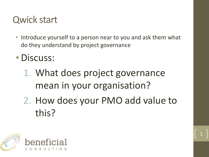### Qwick start

- Introduce yourself to a person near to you and ask them what do they understand by project governance
- Discuss:
	- 1. What does project governance mean in your organisation?
	- 2. How does your PMO add value to this?

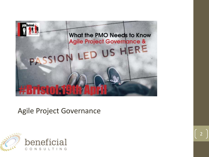

#### Agile Project Governance

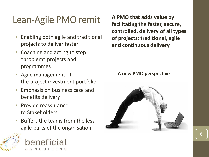## Lean-Agile PMO remit

- Enabling both agile and traditional projects to deliver faster
- Coaching and acting to stop "problem" projects and programmes
- Agile management of the project investment portfolio
- Emphasis on business case and benefits delivery
- Provide reassurance to Stakeholders
- Buffers the teams from the less agile parts of the organisation





**A PMO that adds value by facilitating the faster, secure, controlled, delivery of all types of projects; traditional, agile and continuous delivery**

#### **A new PMO perspective**

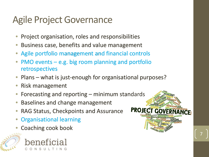# Agile Project Governance

- Project organisation, roles and responsibilities
- Business case, benefits and value management
- Agile portfolio management and financial controls
- $PMO$  events  $-e.g.$  big room planning and portfolio retrospectives
- Plans what is just-enough for organisational purposes?

**PRO IE** 

- Risk management
- Forecasting and reporting minimum standards
- Baselines and change management
- RAG Status, Checkpoints and Assurance
- Organisational learning
- Coaching cook book



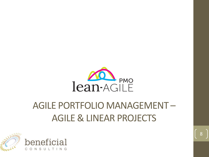

# AGILE PORTFOLIO MANAGEMENT – AGILE & LINEAR PROJECTS

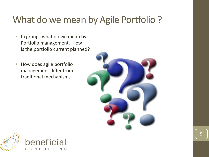# What do we mean by Agile Portfolio ?

- In groups what do we mean by Portfolio management. How is the portfolio current planned?
- How does agile portfolio management differ from traditional mechanisms



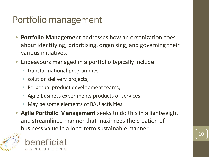# Portfolio management

- **Portfolio Management** addresses how an organization goes about identifying, prioritising, organising, and governing their various initiatives.
- Endeavours managed in a portfolio typically include:
	- transformational programmes,
	- solution delivery projects,
	- Perpetual product development teams,
	- Agile business experiments products or services,
	- May be some elements of BAU activities.
- **Agile Portfolio Management** seeks to do this in a lightweight and streamlined manner that maximizes the creation of business value in a long-term sustainable manner.



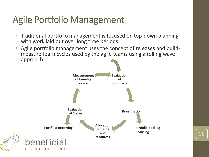# Agile Portfolio Management

- Traditional portfolio management is focused on top-down planning with work laid out over long time periods.
- Agile portfolio management uses the concept of releases and build- measure-learn cycles used by the agile teams using a rolling wave approach

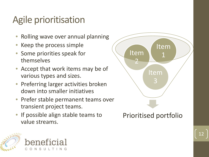# Agile prioritisation

- Rolling wave over annual planning
- Keep the process simple
- Some priorities speak for themselves
- Accept that work items may be of various types and sizes.
- Preferring larger activities broken down into smaller initiatives
- Prefer stable permanent teams over transient project teams.
- If possible align stable teams to value streams.



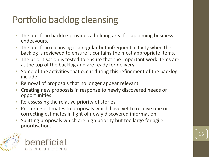# Portfolio backlog cleansing

- The portfolio backlog provides a holding area for upcoming business endeavours.
- The portfolio cleansing is a regular but infrequent activity when the backlog is reviewed to ensure it contains the most appropriate items.
- The prioritisation is tested to ensure that the important work items are at the top of the backlog and are ready for delivery.
- Some of the activities that occur during this refinement of the backlog include:
- Removal of proposals that no longer appear relevant
- Creating new proposals in response to newly discovered needs or opportunities
- Re-assessing the relative priority of stories.
- Procuring estimates to proposals which have yet to receive one or correcting estimates in light of newly discovered information.
- Splitting proposals which are high priority but too large for agile prioritisation.



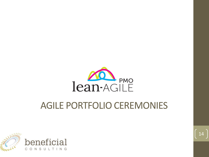

## AGILE PORTFOLIO CEREMONIES



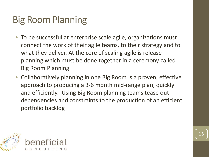# Big Room Planning

- To be successful at enterprise scale agile, organizations must connect the work of their agile teams, to their strategy and to what they deliver. At the core of scaling agile is release planning which must be done together in a ceremony called Big Room Planning
- Collaboratively planning in one Big Room is a proven, effective approach to producing a 3-6 month mid-range plan, quickly and efficiently. Using Big Room planning teams tease out dependencies and constraints to the production of an efficient portfolio backlog



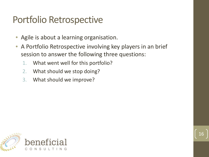## Portfolio Retrospective

- Agile is about a learning organisation.
- A Portfolio Retrospective involving key players in an brief session to answer the following three questions:
	- 1. What went well for this portfolio?
	- 2. What should we stop doing?
	- 3. What should we improve?

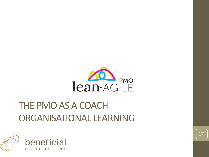

# THE PMO AS A COACH ORGANISATIONAL LEARNING

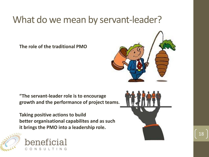# What do we mean by servant-leader?

**The role of the traditional PMO**

**"The servant-leader role is to encourage growth and the performance of project teams.** 

**Taking positive actions to build better organisational capabilites and as such it brings the PMO into a leadership role.**







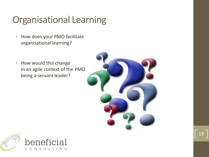# Organisational Learning

- How does your PMO facilitate organisational learning?
- How would this change in an agile context of the PMO being a servant leader?



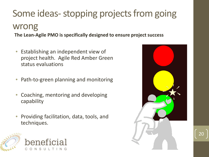#### Some ideas-stopping projects from going wrong **The Lean-Agile PMO is specifically designed to ensure project success**

- Establishing an independent view of project health. Agile Red Amber Green status evaluations
- Path-to-green planning and monitoring
- Coaching, mentoring and developing capability
- Providing facilitation, data, tools, and techniques.



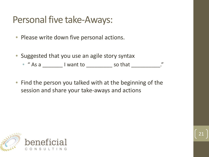### Personal five take-Aways:

- Please write down five personal actions.
- Suggested that you use an agile story syntax
	- " As a \_\_\_\_\_\_\_\_ I want to \_\_\_\_\_\_\_\_\_\_ so that \_\_\_\_\_\_\_\_\_\_\_."
- Find the person you talked with at the beginning of the session and share your take-aways and actions



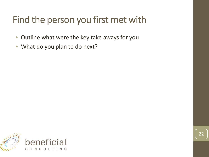# Find the person you first met with

- Outline what were the key take aways for you
- What do you plan to do next?

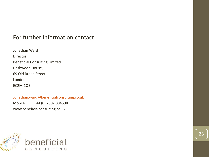#### For further information contact:

Jonathan Ward Director Beneficial Consulting Limited Dashwood House, 69 Old Broad Street London EC2M 1QS

[Jonathan.ward@beneficialconsulting.co.uk](mailto:Jonathan.ward@beneficialconsulting.co.uk)

Mobile: +44 (0) 7802 884598 www.beneficialconsulting.co.uk

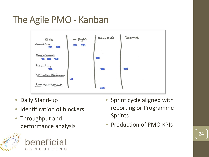# The Agile PMO - Kanban



- Daily Stand-up
- Identification of blockers
- Throughput and performance analysis





- Sprint cycle aligned with reporting or Programme Sprints
- Production of PMO KPIs

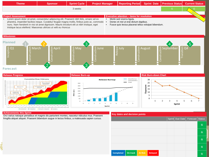

#### **Achievements this Sprint**

Added Jin

 $\pm$ 

 $11/1$  11/2

Orci varius natoque penatibus et magnis dis parturient montes, nascetur ridiculus mus. Praesent fringilla aliquet aliquet. Praesent bibendum augue in lectus finibus, a malesuada sapien cursus.

**B** in integration Waiting for integration B in progress

50

 $\circ$ 

 $\overline{2}$  $\overline{3}$  $\boldsymbol{A}$ 5 6

Sprint

#### **Key dates and decision points**

8

 $\mathbf 9$ 

|  |                  |          |         |                |  |  | Sprint Due Date Forecast Status |  |   |
|--|------------------|----------|---------|----------------|--|--|---------------------------------|--|---|
|  |                  |          |         |                |  |  |                                 |  | G |
|  |                  |          |         |                |  |  |                                 |  | G |
|  |                  |          |         |                |  |  |                                 |  | G |
|  |                  |          |         |                |  |  |                                 |  | G |
|  | <b>Completed</b> | On track | At Risk | <b>Delayed</b> |  |  |                                 |  | G |

 $\overline{c}$ 

3

 $\overline{4}$ 

Sprint

5

6

 $\mathbf{0}$ 

 $\mathbf{1}$